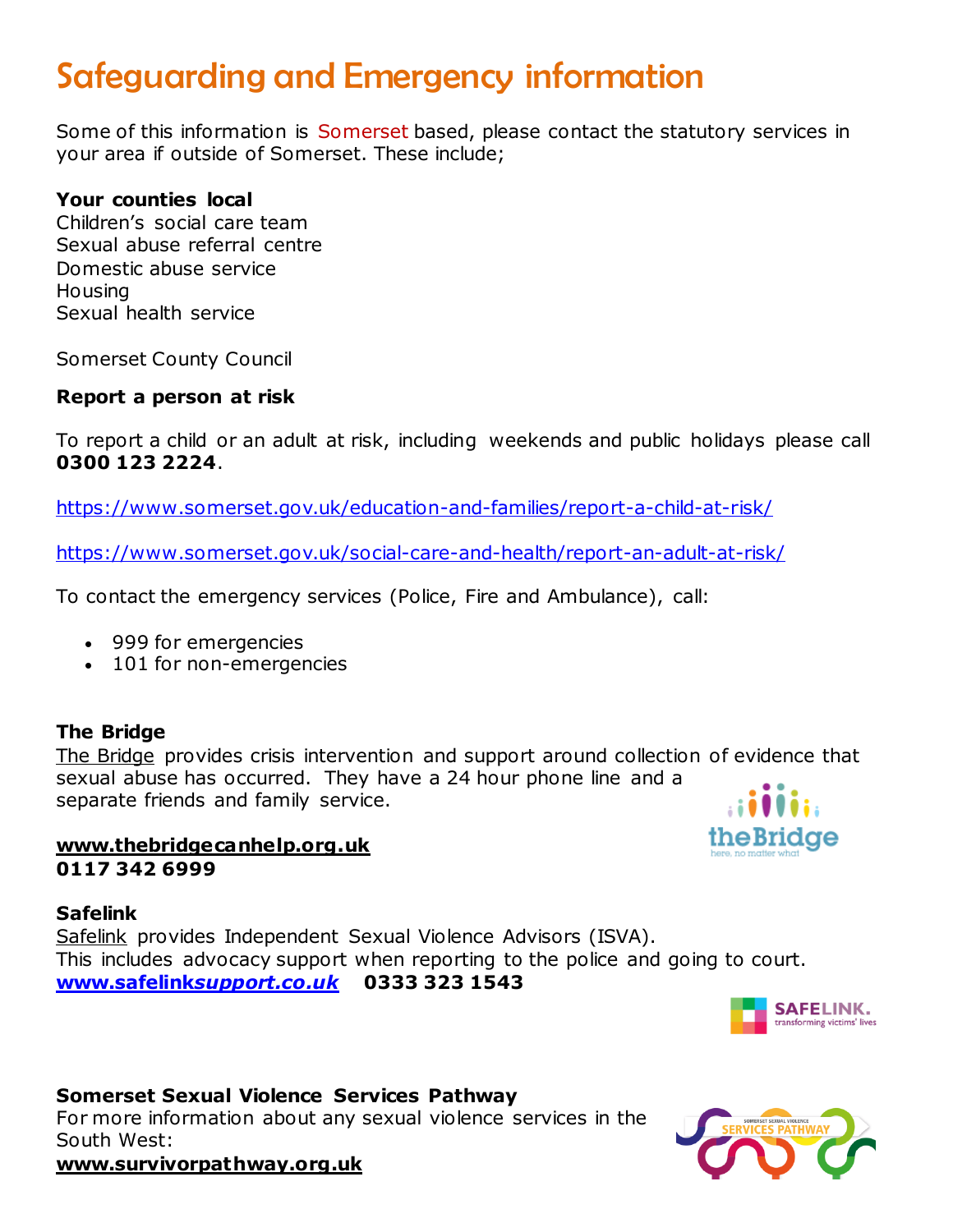# Safeguarding and Emergency information

Some of this information is Somerset based, please contact the statutory services in your area if outside of Somerset. These include;

## **Your counties local**

Children's social care team Sexual abuse referral centre Domestic abuse service **Housing** Sexual health service

Somerset County Council

## **Report a person at risk**

To report a child or an adult at risk, including weekends and public holidays please call **0300 123 2224**.

<https://www.somerset.gov.uk/education-and-families/report-a-child-at-risk/>

<https://www.somerset.gov.uk/social-care-and-health/report-an-adult-at-risk/>

To contact the emergency services (Police, Fire and Ambulance), call:

- 999 for emergencies
- 101 for non-emergencies

## **The Bridge**

[The Bridge](http://www.thebridgecanhelp.org.uk/) provides crisis intervention and support around collection of evidence that sexual abuse has occurred. They have a 24 hour phone line and a separate friends and family service.

## **[www.thebridgecanhelp.org.uk](http://www.thebridgecanhelp.org.uk/) 0117 342 6999**

### **Safelink**

[Safelink](http://www.safelinksupport.co.uk/) provides Independent Sexual Violence Advisors (ISVA). This includes advocacy support when reporting to the police and going to court. **www.safelink***[support.co.uk](http://www.safelinksupport.co.uk/)* **0333 323 1543**



#### **Somerset Sexual Violence Services Pathway**

For more information about any sexual violence services in the South West:



theBridae

**[www.survivorpathway.org.uk](http://www.survivorpathway.org.uk/)**